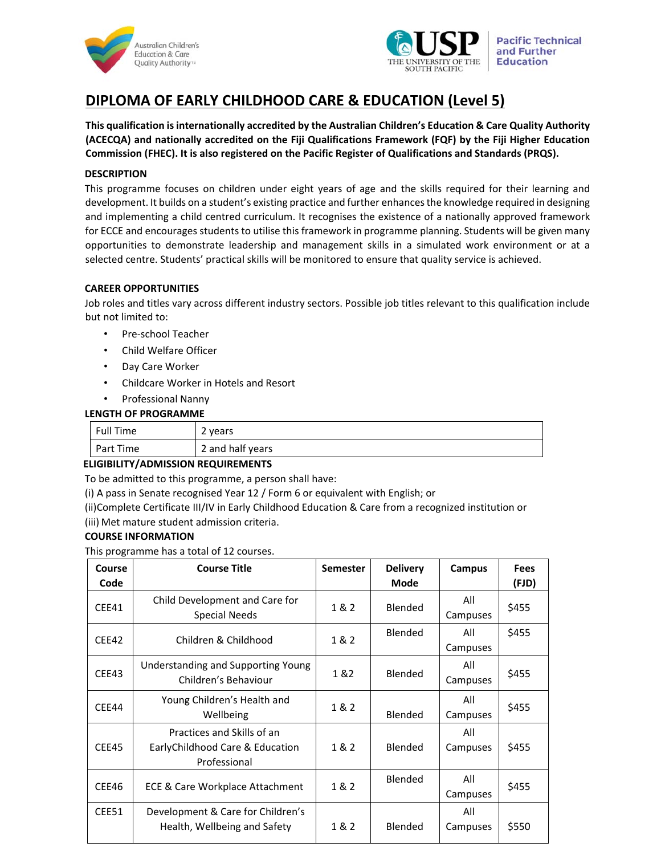



# **DIPLOMA OF EARLY CHILDHOOD CARE & EDUCATION (Level 5)**

**This qualification is internationally accredited by the Australian Children's Education & Care Quality Authority (ACECQA) and nationally accredited on the Fiji Qualifications Framework (FQF) by the Fiji Higher Education Commission (FHEC). It is also registered on the Pacific Register of Qualifications and Standards (PRQS).**

# **DESCRIPTION**

This programme focuses on children under eight years of age and the skills required for their learning and development. It builds on a student's existing practice and further enhances the knowledge required in designing and implementing a child centred curriculum. It recognises the existence of a nationally approved framework for ECCE and encourages students to utilise this framework in programme planning. Students will be given many opportunities to demonstrate leadership and management skills in a simulated work environment or at a selected centre. Students' practical skills will be monitored to ensure that quality service is achieved.

# **CAREER OPPORTUNITIES**

Job roles and titles vary across different industry sectors. Possible job titles relevant to this qualification include but not limited to:

- Pre‐school Teacher
- Child Welfare Officer
- Day Care Worker
- Childcare Worker in Hotels and Resort
- Professional Nanny

# **LENGTH OF PROGRAMME**

| Full Time | 2 years          |
|-----------|------------------|
| Part Time | 2 and half years |

### **ELIGIBILITY/ADMISSION REQUIREMENTS**

To be admitted to this programme, a person shall have:

(i) A pass in Senate recognised Year 12 / Form 6 or equivalent with English; or

(ii)Complete Certificate III/IV in Early Childhood Education & Care from a recognized institution or (iii) Met mature student admission criteria.

### **COURSE INFORMATION**

This programme has a total of 12 courses.

| <b>Course</b> | <b>Course Title</b>                                        | <b>Semester</b> | <b>Delivery</b> | Campus   | <b>Fees</b> |  |
|---------------|------------------------------------------------------------|-----------------|-----------------|----------|-------------|--|
| Code          |                                                            |                 | <b>Mode</b>     |          | (FJD)       |  |
| CEE41         | Child Development and Care for<br>Special Needs            | 1&2             | Blended         | All      | \$455       |  |
|               |                                                            |                 |                 | Campuses |             |  |
| CEE42         | Children & Childhood                                       | 1 & 2           | Blended         | All      | \$455       |  |
|               |                                                            |                 |                 | Campuses |             |  |
| CEE43         | Understanding and Supporting Young<br>Children's Behaviour | 1 & 2           | Blended         | All      | \$455       |  |
|               |                                                            |                 |                 | Campuses |             |  |
| CEE44         | Young Children's Health and<br>Wellbeing                   | 1 & 2           |                 | All      |             |  |
|               |                                                            |                 | <b>Blended</b>  | Campuses | \$455       |  |
|               | Practices and Skills of an                                 |                 |                 | All      |             |  |
| CEE45         | EarlyChildhood Care & Education                            | 1 & 2           | Blended         | Campuses | \$455       |  |
|               | Professional                                               |                 |                 |          |             |  |
| CEE46         | ECE & Care Workplace Attachment                            | 1 & 2           | Blended         | All      | \$455       |  |
|               |                                                            |                 |                 | Campuses |             |  |
| CEE51         | Development & Care for Children's                          |                 |                 | All      |             |  |
|               | Health, Wellbeing and Safety                               | 1 & 2           | Blended         | Campuses | \$550       |  |
|               |                                                            |                 |                 |          |             |  |